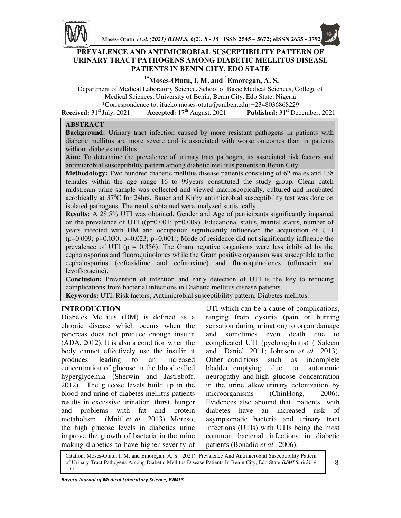

## **PREVALENCE AND ANTIMICROBIAL SUSCEPTIBILITY PATTERN OF URINARY TRACT PATHOGENS AMONG DIABETIC MELLITUS DISEASE PATIENTS IN BENIN CITY, EDO STATE**

### <sup>1</sup>**\*Moses-Otutu, I. M. and <sup>1</sup>Emoregan, A. S.**

Department of Medical Laboratory Science, School of Basic Medical Sciences, College of Medical Sciences, University of Benin, Benin City, Edo State, Nigeria \*Correspondence to: ifueko.moses-otutu@uniben.edu; +2348036868229

**Received:** 31<sup>st</sup> July, 2021 **Accepted:** 17<sup>th</sup> August, 2021 **Published:** 31<sup>st</sup> December, 2021

### **ABSTRACT**

**Background:** Urinary tract infection caused by more resistant pathogens in patients with diabetic mellitus are more severe and is associated with worse outcomes than in patients without diabetes mellitus.

**Aim:** To determine the prevalence of urinary tract pathogen, its associated risk factors and antimicrobial susceptibility pattern among diabetic mellitus patients in Benin City.

**Methodology:** Two hundred diabetic mellitus disease patients consisting of 62 males and 138 females within the age range 16 to 99years constituted the study group. Clean catch midstream urine sample was collected and viewed macroscopically, cultured and incubated aerobically at  $37^0C$  for 24hrs. Bauer and Kirby antimicrobial susceptibility test was done on isolated pathogens. The results obtained were analyzed statistically.

**Results:** A 28.5% UTI was obtained. Gender and Age of participants significantly imparted on the prevalence of UTI ( $(p=0.001; p=0.009)$ ). Educational status, marital status, number of years infected with DM and occupation significantly influenced the acquisition of UTI  $(p=0.009; p=0.030; p=0.023; p=0.001)$ ; Mode of residence did not significantly influence the prevalence of UTI ( $p = 0.356$ ). The Gram negative organisms were less inhibited by the cephalosporins and fluoroquinolones while the Gram positive organism was susceptible to the cephalosporins (ceftazidime and cefuroxime) and fluoroquinolones (ofloxacin and levofloxacine).

**Conclusion:** Prevention of infection and early detection of UTI is the key to reducing complications from bacterial infections in Diabetic mellitus disease patients. **Keywords:** UTI, Risk factors, Antimicrobial susceptibility pattern, Diabetes mellitus.

### **INTRODUCTION**

Diabetes Mellitus (DM) is defined as a chronic disease which occurs when the pancreas does not produce enough insulin (ADA, 2012). It is also a condition when the body cannot effectively use the insulin it produces leading to an increased concentration of glucose in the blood called hyperglycemia (Sherwin and Jastreboff, 2012). The glucose levels build up in the blood and urine of diabetes mellitus patients results in excessive urination, thirst, hunger and problems with fat and protein metabolism. (Mnif *et al.,* 2013). Moreso, the high glucose levels in diabetics urine improve the growth of bacteria in the urine making diabetics to have higher severity of UTI which can be a cause of complications, ranging from dysuria (pain or burning sensation during urination) to organ damage and sometimes even death due to complicated UTI (pyelonephritis) ( Saleem and Daniel, 2011; Johnson *et al*., 2013). Other conditions such as incomplete bladder emptying due to autonomic neuropathy and high glucose concentration in the urine allow urinary colonization by microorganisms (ChinHong, 2006). Evidences also abound that patients with diabetes have an increased risk of asymptomatic bacteria and urinary tract infections (UTIs) with UTIs being the most common bacterial infections in diabetic patients (Bonadio *et al*., 2006).

Citation: Moses-Otutu, I. M. and Emoregan, A. S. (2021): Prevalence And Antimicrobial Susceptibility Pattern of Urinary Tract Pathogens Among Diabetic Mellitus Disease Patients In Benin City, Edo State *BJMLS. 6(2): 8 - 15*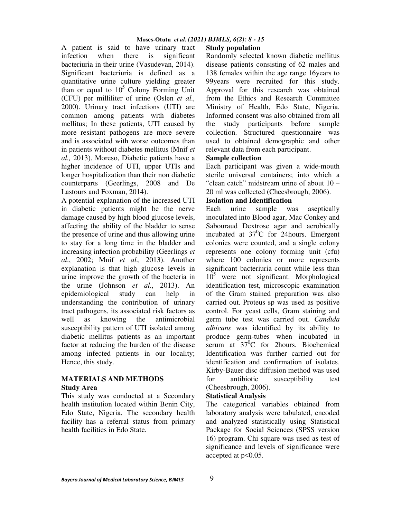### **Moses-Otutu** *et al. (2021) BJMLS, 6(2): 8 - 15*

A patient is said to have urinary tract infection when there is significant bacteriuria in their urine (Vasudevan, 2014). Significant bacteriuria is defined as a quantitative urine culture yielding greater than or equal to  $10^5$  Colony Forming Unit (CFU) per milliliter of urine (Oslen *et al.,* 2000). Urinary tract infections (UTI) are common among patients with diabetes mellitus; In these patients, UTI caused by more resistant pathogens are more severe and is associated with worse outcomes than in patients without diabetes mellitus (Mnif *et al.,* 2013). Moreso, Diabetic patients have a higher incidence of UTI, upper UTIs and longer hospitalization than their non diabetic counterparts (Geerlings, 2008 and De Lastours and Foxman, 2014).

A potential explanation of the increased UTI in diabetic patients might be the nerve damage caused by high blood glucose levels, affecting the ability of the bladder to sense the presence of urine and thus allowing urine to stay for a long time in the bladder and increasing infection probability (Geerlings *et al*., 2002; Mnif *et al.,* 2013). Another explanation is that high glucose levels in urine improve the growth of the bacteria in the urine (Johnson *et al*., 2013). An epidemiological study can help in understanding the contribution of urinary tract pathogens, its associated risk factors as well as knowing the antimicrobial susceptibility pattern of UTI isolated among diabetic mellitus patients as an important factor at reducing the burden of the disease among infected patients in our locality; Hence, this study.

### **MATERIALS AND METHODS Study Area**

This study was conducted at a Secondary health institution located within Benin City, Edo State, Nigeria. The secondary health facility has a referral status from primary health facilities in Edo State.

# **Study population**

Randomly selected known diabetic mellitus disease patients consisting of 62 males and 138 females within the age range 16years to 99years were recruited for this study. Approval for this research was obtained from the Ethics and Research Committee Ministry of Health, Edo State, Nigeria. Informed consent was also obtained from all the study participants before sample collection. Structured questionnaire was used to obtained demographic and other relevant data from each participant.

## **Sample collection**

Each participant was given a wide-mouth sterile universal containers; into which a "clean catch" midstream urine of about 10 – 20 ml was collected (Cheesbrough, 2006).

### **Isolation and Identification**

Each urine sample was aseptically inoculated into Blood agar, Mac Conkey and Sabouraud Dextrose agar and aerobically incubated at  $37^{\circ}$ C for 24 hours. Emergent colonies were counted, and a single colony represents one colony forming unit (cfu) where 100 colonies or more represents significant bacteriuria count while less than  $10^5$  were not significant. Morphological identification test, microscopic examination of the Gram stained preparation was also carried out. Proteus sp was used as positive control. For yeast cells, Gram staining and germ tube test was carried out. *Candida albicans* was identified by its ability to produce germ-tubes when incubated in serum at  $37^0C$  for 2hours. Biochemical Identification was further carried out for identification and confirmation of isolates. Kirby-Bauer disc diffusion method was used for antibiotic susceptibility test (Cheesbrough, 2006).

## **Statistical Analysis**

The categorical variables obtained from laboratory analysis were tabulated, encoded and analyzed statistically using Statistical Package for Social Sciences (SPSS version 16) program. Chi square was used as test of significance and levels of significance were accepted at p<0.05.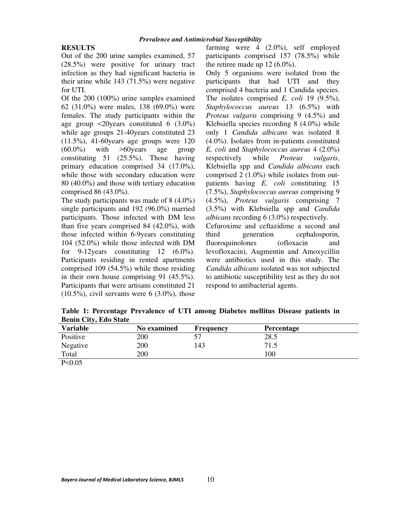## **RESULTS**

Out of the 200 urine samples examined, 57 (28.5%) were positive for urinary tract infection as they had significant bacteria in their urine while 143 (71.5%) were negative for UTI.

Of the 200 (100%) urine samples examined 62 (31.0%) were males, 138 (69.0%) were females. The study participants within the age group  $\leq$ 20 years constituted 6 (3.0%) while age groups 21-40years constituted 23 (11.5%), 41-60years age groups were 120  $(60.0\%)$  with  $>60$  years age group constituting 51 (25.5%). Those having primary education comprised 34 (17.0%), while those with secondary education were 80 (40.0%) and those with tertiary education comprised 86 (43.0%).

The study participants was made of 8 (4.0%) single participants and 192 (96.0%) married participants. Those infected with DM less than five years comprised 84 (42.0%), with those infected within 6-9years constituting 104 (52.0%) while those infected with DM for  $9-12$  years constituting 12 (6.0%). Participants residing in rented apartments comprised 109 (54.5%) while those residing in their own house comprising 91 (45.5%). Participants that were artisans constituted 21  $(10.5\%)$ , civil servants were 6  $(3.0\%)$ , those

farming were 4 (2.0%), self employed participants comprised 157 (78.5%) while the retiree made up 12 (6.0%).

Only 5 organisms were isolated from the participants that had UTI and they comprised 4 bacteria and 1 Candida species. The isolates comprised *E. coli* 19 (9.5%), *Staphylococcus aureus* 13 (6.5%) with *Proteus vulgaris* comprising 9 (4.5%) and Klebsiella species recording 8 (4.0%) while only 1 *Candida albicans* was isolated 8 (4.0%). Isolates from in-patients constituted *E. coli* and *Staphylococcus aureus* 4 (2.0%) respectively while *Proteus vulgaris*, Klebsiella spp and *Candida albicans* each comprised 2 (1.0%) while isolates from outpatients having *E. coli* constituting 15 (7.5%), *Staphylococcus aureus* comprising 9 (4.5%), *Proteus vulgaris* comprising 7 (3.5%) with Klebsiella spp and *Candida albicans* recording 6 (3.0%) respectively.

Cefuroxime and ceftazidime a second and third generation cephalosporin, fluoroquinolones (ofloxacin and levofloxacin), Augmentin and Amoxycillin were antibiotics used in this study. The *Candida albicans* isolated was not subjected to antibiotic susceptibility test as they do not respond to antibacterial agents.

**Table 1: Percentage Prevalence of UTI among Diabetes mellitus Disease patients in Benin City, Edo State**

| <b>Variable</b> | No examined | <b>Frequency</b> | Percentage |
|-----------------|-------------|------------------|------------|
| Positive        | 200         | 57               | 28.5       |
| Negative        | 200         | 143              | 71.5       |
| Total           | 200         |                  | 100        |
| P < 0.05        |             |                  |            |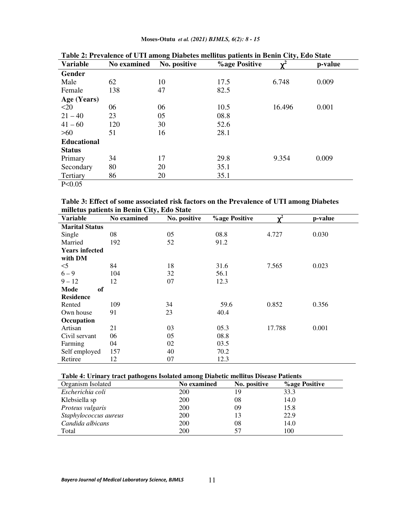**Moses-Otutu** *et al. (2021) BJMLS, 6(2): 8 - 15* 

| <b>Variable</b>    | No examined | No. positive | <b>%age Positive</b> | $\overline{\mathbf{v}^2}$ | p-value |
|--------------------|-------------|--------------|----------------------|---------------------------|---------|
| Gender             |             |              |                      |                           |         |
| Male               | 62          | 10           | 17.5                 | 6.748                     | 0.009   |
| Female             | 138         | 47           | 82.5                 |                           |         |
| Age (Years)        |             |              |                      |                           |         |
| <20                | 06          | 06           | 10.5                 | 16.496                    | 0.001   |
| $21 - 40$          | 23          | 05           | 08.8                 |                           |         |
| $41 - 60$          | 120         | 30           | 52.6                 |                           |         |
| $>60$              | 51          | 16           | 28.1                 |                           |         |
| <b>Educational</b> |             |              |                      |                           |         |
| <b>Status</b>      |             |              |                      |                           |         |
| Primary            | 34          | 17           | 29.8                 | 9.354                     | 0.009   |
| Secondary          | 80          | 20           | 35.1                 |                           |         |
| Tertiary           | 86          | 20           | 35.1                 |                           |         |
| P < 0.05           |             |              |                      |                           |         |

**Table 2: Prevalence of UTI among Diabetes mellitus patients in Benin City, Edo State** 

**Table 3: Effect of some associated risk factors on the Prevalence of UTI among Diabetes milletus patients in Benin City, Edo State** 

| minetus patients in Denni City, Euo State |             |                                |      |                |         |  |  |
|-------------------------------------------|-------------|--------------------------------|------|----------------|---------|--|--|
| <b>Variable</b>                           | No examined | % age Positive<br>No. positive |      | $\mathbf{v}^2$ | p-value |  |  |
| <b>Marital Status</b>                     |             |                                |      |                |         |  |  |
| Single                                    | 08          | 05                             | 08.8 | 4.727          | 0.030   |  |  |
| Married                                   | 192         | 52                             | 91.2 |                |         |  |  |
| <b>Years infected</b>                     |             |                                |      |                |         |  |  |
| with DM                                   |             |                                |      |                |         |  |  |
| $<$ 5                                     | 84          | 18                             | 31.6 | 7.565          | 0.023   |  |  |
| $6 - 9$                                   | 104         | 32                             | 56.1 |                |         |  |  |
| $9 - 12$                                  | 12          | 07                             | 12.3 |                |         |  |  |
| Mode<br>of                                |             |                                |      |                |         |  |  |
| <b>Residence</b>                          |             |                                |      |                |         |  |  |
| Rented                                    | 109         | 34                             | 59.6 | 0.852          | 0.356   |  |  |
| Own house                                 | 91          | 23                             | 40.4 |                |         |  |  |
| Occupation                                |             |                                |      |                |         |  |  |
| Artisan                                   | 21          | 03                             | 05.3 | 17.788         | 0.001   |  |  |
| Civil servant                             | 06          | 05                             | 08.8 |                |         |  |  |
| Farming                                   | 04          | 02                             | 03.5 |                |         |  |  |
| Self employed                             | 157         | 40                             | 70.2 |                |         |  |  |
| Retiree                                   | 12          | 07                             | 12.3 |                |         |  |  |

### **Table 4: Urinary tract pathogens Isolated among Diabetic mellitus Disease Patients**

| Organism Isolated     | <b>No examined</b> | No. positive | <b>%age Positive</b> |
|-----------------------|--------------------|--------------|----------------------|
| Escherichia coli      | 200                | 19           | 33.3                 |
| Klebsiella sp         | 200                | 08           | 14.0                 |
| Proteus vulgaris      | 200                | 09           | 15.8                 |
| Staphylococcus aureus | 200                | 13           | 22.9                 |
| Candida albicans      | 200                | 08           | 14.0                 |
| Total                 | 200                | 57           | 100                  |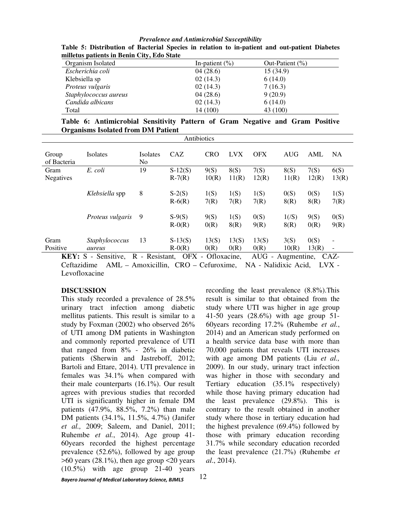| $\ldots$<br>Organism Isolated | In-patient $(\% )$ | Out-Patient $(\% )$ |
|-------------------------------|--------------------|---------------------|
| Escherichia coli              | 04(28.6)           | 15(34.9)            |
| Klebsiella sp                 | 02(14.3)           | 6(14.0)             |
| Proteus vulgaris              | 02(14.3)           | 7(16.3)             |
| Staphylococcus aureus         | 04(28.6)           | 9(20.9)             |
| Candida albicans              | 02(14.3)           | 6(14.0)             |
| Total                         | 14 (100)           | 43 (100)            |

*Prevalence and Antimicrobial Susceptibility*  **Table 5: Distribution of Bacterial Species in relation to in-patient and out-patient Diabetes milletus patients in Benin City, Edo State** 

**Table 6: Antimicrobial Sensitivity Pattern of Gram Negative and Gram Positive Organisms Isolated from DM Patient** 

| Antibiotics              |                                           |                       |                             |               |               |               |               |               |               |
|--------------------------|-------------------------------------------|-----------------------|-----------------------------|---------------|---------------|---------------|---------------|---------------|---------------|
| Group<br>of Bacteria     | Isolates                                  | <b>Isolates</b><br>No | CAZ                         | <b>CRO</b>    | <b>LVX</b>    | <b>OFX</b>    | AUG           | AML           | NA.           |
| Gram<br><b>Negatives</b> | E. coli                                   | 19                    | $S-12(S)$<br>$R-7(R)$       | 9(S)<br>10(R) | 8(S)<br>11(R) | 7(S)<br>12(R) | 8(S)<br>11(R) | 7(S)<br>12(R) | 6(S)<br>13(R) |
|                          | Klebsiella spp                            | 8                     | $S-2(S)$<br>$R-6(R)$        | 1(S)<br>7(R)  | 1(S)<br>7(R)  | 1(S)<br>7(R)  | 0(S)<br>8(R)  | 0(S)<br>8(R)  | 1(S)<br>7(R)  |
|                          | Proteus vulgaris                          | -9                    | $S-9(S)$<br>$R-0(R)$        | 9(S)<br>0(R)  | 1(S)<br>8(R)  | 0(S)<br>9(R)  | 1/(S)<br>8(R) | 9(S)<br>0(R)  | 0(S)<br>9(R)  |
| Gram<br>Positive         | Staphylococcus<br>aureus                  | 13                    | $S-13(S)$<br>$R-0(R)$       | 13(S)<br>0(R) | 13(S)<br>0(R) | 13(S)<br>0(R) | 3(S)<br>10(R) | 0(S)<br>13(R) | -<br>-        |
| KFV.                     | $\mathbf{Conmitiva}$<br>$\mathbf{p}$<br>c | <b>Desistant</b>      | $\bigcap$ $\Gamma$ $\Gamma$ | Oflovecine    |               | A HG          | Augmentine    |               | $C\Lambda Z$  |

**KEY:** S - Sensitive, R - Resistant, OFX - Ofloxacine, AUG - Augmentine,CAZ-Ceftazidime AML – Amoxicillin, CRO – Cefuroxime, NA - Nalidixic Acid, LVX - Levofloxacine

#### **DISCUSSION**

*Bayero Journal of Medical Laboratory Science, BJMLS*  This study recorded a prevalence of 28.5% urinary tract infection among diabetic mellitus patients. This result is similar to a study by Foxman (2002) who observed 26% of UTI among DM patients in Washington and commonly reported prevalence of UTI that ranged from 8% - 26% in diabetic patients (Sherwin and Jastreboff, 2012; Bartoli and Ettare, 2014). UTI prevalence in females was 34.1% when compared with their male counterparts (16.1%). Our result agrees with previous studies that recorded UTI is significantly higher in female DM patients (47.9%, 88.5%, 7.2%) than male DM patients (34.1%, 11.5%, 4.7%) (Janifer *et al.,* 2009; Saleem, and Daniel, 2011; Ruhembe *et al.*, 2014). Age group 41- 60years recorded the highest percentage prevalence (52.6%), followed by age group  $>60$  years (28.1%), then age group  $<$ 20 years (10.5%) with age group 21-40 years

recording the least prevalence (8.8%).This result is similar to that obtained from the study where UTI was higher in age group 41-50 years (28.6%) with age group 51- 60years recording 17.2% (Ruhembe *et al.*, 2014) and an American study performed on a health service data base with more than 70,000 patients that reveals UTI increases with age among DM patients (Liu *et al.,* 2009). In our study, urinary tract infection was higher in those with secondary and Tertiary education (35.1% respectively) while those having primary education had the least prevalence (29.8%). This is contrary to the result obtained in another study where those in tertiary education had the highest prevalence (69.4%) followed by those with primary education recording 31.7% while secondary education recorded the least prevalence (21.7%) (Ruhembe *et al*., 2014).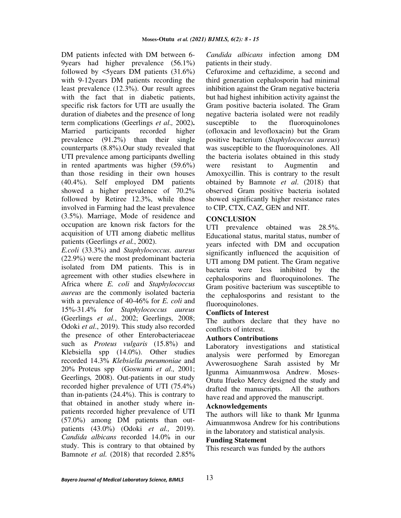DM patients infected with DM between 6- 9years had higher prevalence (56.1%) followed by  $\leq$  5 years DM patients (31.6%) with 9-12years DM patients recording the least prevalence (12.3%). Our result agrees with the fact that in diabetic patients, specific risk factors for UTI are usually the duration of diabetes and the presence of long term complications (Geerlings *et al.,* 2002)**.**  Married participants recorded higher prevalence (91.2%) than their single counterparts (8.8%).Our study revealed that UTI prevalence among participants dwelling in rented apartments was higher (59.6%) than those residing in their own houses (40.4%). Self employed DM patients showed a higher prevalence of 70.2% followed by Retiree 12.3%, while those involved in Farming had the least prevalence (3.5%). Marriage, Mode of residence and occupation are known risk factors for the acquisition of UTI among diabetic mellitus patients (Geerlings *et al.*, 2002).

*E.coli* (33.3%) and *Staphylococcus. aureus*  (22.9%) were the most predominant bacteria isolated from DM patients. This is in agreement with other studies elsewhere in Africa where *E. coli* and *Staphylococcus aureus* are the commonly isolated bacteria with a prevalence of 40-46% for *E. coli* and 15%-31.4% for *Staphylococcus aureus* **(**Geerlings *et al.*, 2002; Geerlings*,* 2008; Odoki *et al*., 2019). This study also recorded the presence of other Enterobacteriaceae such as *Proteus vulgaris* (15.8%) and Klebsiella spp (14.0%). Other studies recorded 14.3% *Klebsiella pneumoniae* and 20% Proteus spp (Goswami *et al.,* 2001; Geerlings*,* 2008). Out-patients in our study recorded higher prevalence of UTI (75.4%) than in-patients (24.4%). This is contrary to that obtained in another study where inpatients recorded higher prevalence of UTI (57.0%) among DM patients than outpatients (43.0%) (Odoki *et al.,* 2019). *Candida albicans* recorded 14.0% in our study. This is contrary to that obtained by Bamnote *et al.* (2018) that recorded 2.85% *Candida albicans* infection among DM patients in their study.

Cefuroxime and ceftazidime, a second and third generation cephalosporin had minimal inhibition against the Gram negative bacteria but had highest inhibition activity against the Gram positive bacteria isolated. The Gram negative bacteria isolated were not readily susceptible to the fluoroquinolones (ofloxacin and levofloxacin) but the Gram positive bacterium (*Staphylococcus aureus*) was susceptible to the fluoroquinolones. All the bacteria isolates obtained in this study were resistant to Augmentin and Amoxycillin. This is contrary to the result obtained by Bamnote *et al*. (2018) that observed Gram positive bacteria isolated showed significantly higher resistance rates to CIP, CTX, CAZ, GEN and NIT.

### **CONCLUSION**

UTI prevalence obtained was 28.5%. Educational status, marital status, number of years infected with DM and occupation significantly influenced the acquisition of UTI among DM patient. The Gram negative bacteria were less inhibited by the cephalosporins and fluoroquinolones. The Gram positive bacterium was susceptible to the cephalosporins and resistant to the fluoroquinolones.

### **Conflicts of Interest**

The authors declare that they have no conflicts of interest.

### **Authors Contributions**

Laboratory investigations and statistical analysis were performed by Emoregan Avwerosuoghene Sarah assisted by Mr Igunma Aimuanmwosa Andrew. Moses-Otutu Ifueko Mercy designed the study and drafted the manuscripts. All the authors have read and approved the manuscript.

### **Acknowledgements**

The authors will like to thank Mr Igunma Aimuanmwosa Andrew for his contributions in the laboratory and statistical analysis.

#### **Funding Statement**

This research was funded by the authors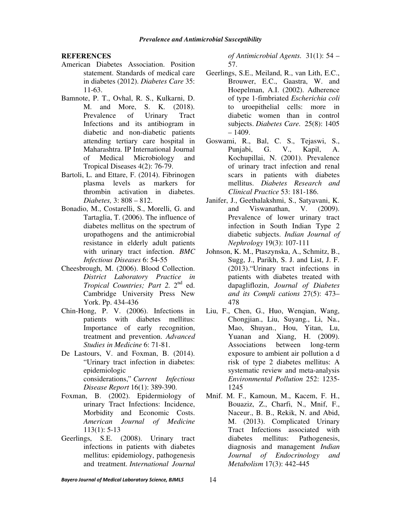#### **REFERENCES**

- American Diabetes Association. Position statement. Standards of medical care in diabetes (2012). *Diabetes Care* 35: 11-63.
- Bamnote, P. T., Ovhal, R. S., Kulkarni, D. M. and More, S. K. (2018). Prevalence of Urinary Tract Infections and its antibiogram in diabetic and non-diabetic patients attending tertiary care hospital in Maharashtra. IP International Journal of Medical Microbiology and Tropical Diseases 4(2): 76-79.
- Bartoli, L. and Ettare, F. (2014). Fibrinogen plasma levels as markers for thrombin activation in diabetes. *Diabetes,* 3: 808 – 812.
- Bonadio, M., Costarelli, S., Morelli, G. and Tartaglia, T. (2006). The influence of diabetes mellitus on the spectrum of uropathogens and the antimicrobial resistance in elderly adult patients with urinary tract infection. *BMC Infectious Diseases* 6: 54-55
- Cheesbrough, M. (2006). Blood Collection. *District Laboratory Practice in*  Tropical Countries; Part 2. 2<sup>nd</sup> ed. Cambridge University Press New York. Pp. 434-436
- Chin-Hong, P. V. (2006). Infections in patients with diabetes mellitus: Importance of early recognition, treatment and prevention. *Advanced Studies in Medicine* 6: 71-81.
- De Lastours, V. and Foxman, B. (2014). "Urinary tract infection in diabetes: epidemiologic considerations," *Current Infectious Disease Report* 16(1): 389-390.
- Foxman, B. (2002). Epidermiology of urinary Tract Infections: Incidence, Morbidity and Economic Costs. *American Journal of Medicine* 113(1): 5-13
- Geerlings, S.E. (2008). Urinary tract infections in patients with diabetes mellitus: epidemiology, pathogenesis and treatment. *International Journal*

*of Antimicrobial Agents.* 31(1): 54 – 57.

- Geerlings, S.E., Meiland, R., van Lith, E.C., Brouwer, E.C., Gaastra, W. and Hoepelman, A.I. (2002). Adherence of type 1-fimbriated *Escherichia coli* to uroepithelial cells: more in diabetic women than in control subjects. *Diabetes Care.* 25(8): 1405  $-1409.$
- Goswami, R., Bal, C. S., Tejaswi, S., Punjabi, G. V., Kapil, A. Kochupillai, N. (2001). Prevalence of urinary tract infection and renal scars in patients with diabetes mellitus. *Diabetes Research and Clinical Practice* 53: 181-186.
- Janifer, J., Geethalakshmi, S., Satyavani, K. and Viswanathan, V. (2009). Prevalence of lower urinary tract infection in South Indian Type 2 diabetic subjects. *Indian Journal of Nephrology* 19(3): 107-111
- Johnson, K. M., Ptaszynska, A., Schmitz, B., Sugg, J., Parikh, S. J. and List, J. F. (2013)."Urinary tract infections in patients with diabetes treated with dapagliflozin, *Journal of Diabetes and its Compli cations* 27(5): 473– 478
- Liu, F., Chen, G., Huo, Wenqian, Wang, Chongjian., Liu, Suyang., Li, Na., Mao, Shuyan., Hou, Yitan, Lu, Yuanan and Xiang, H. (2009). Associations between long-term exposure to ambient air pollution a d risk of type 2 diabetes mellitus: A systematic review and meta-analysis *Environmental Pollution* 252: 1235- 1245
- Mnif. M. F., Kamoun, M., Kacem, F. H., Bouaziz, Z., Charfi, N., Mnif, F., Naceur., B. B., Rekik, N. and Abid, M. (2013). Complicated Urinary Tract Infections associated with diabetes mellitus: Pathogenesis, diagnosis and management *Indian Journal of Endocrinology and Metabolism* 17(3): 442-445